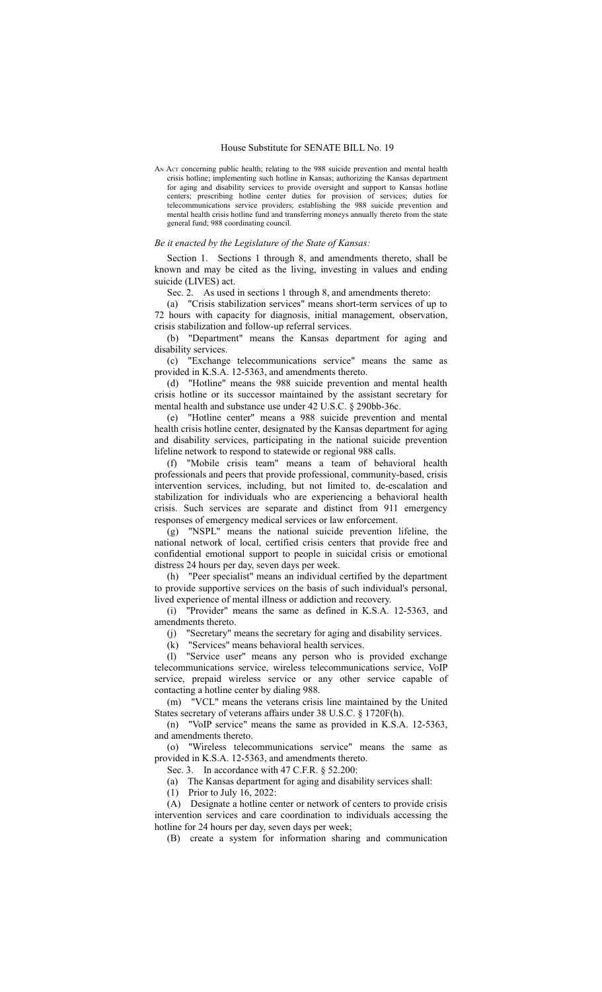AN ACT concerning public health; relating to the 988 suicide prevention and mental health crisis hotline; implementing such hotline in Kansas; authorizing the Kansas department for aging and disability services to provide oversight and support to Kansas hotline centers; prescribing hotline center duties for provision of services; duties for telecommunications service providers; establishing the 988 suicide prevention and mental health crisis hotline fund and transferring moneys annually thereto from the state general fund; 988 coordinating council.

## *Be it enacted by the Legislature of the State of Kansas:*

Section 1. Sections 1 through 8, and amendments thereto, shall be known and may be cited as the living, investing in values and ending suicide (LIVES) act.

Sec. 2. As used in sections 1 through 8, and amendments thereto:

(a) "Crisis stabilization services" means short-term services of up to 72 hours with capacity for diagnosis, initial management, observation, crisis stabilization and follow-up referral services.

(b) "Department" means the Kansas department for aging and disability services.

(c) "Exchange telecommunications service" means the same as provided in K.S.A. 12-5363, and amendments thereto.

(d) "Hotline" means the 988 suicide prevention and mental health crisis hotline or its successor maintained by the assistant secretary for mental health and substance use under 42 U.S.C. § 290bb-36c.

(e) "Hotline center" means a 988 suicide prevention and mental health crisis hotline center, designated by the Kansas department for aging and disability services, participating in the national suicide prevention lifeline network to respond to statewide or regional 988 calls.

(f) "Mobile crisis team" means a team of behavioral health professionals and peers that provide professional, community-based, crisis intervention services, including, but not limited to, de-escalation and stabilization for individuals who are experiencing a behavioral health crisis. Such services are separate and distinct from 911 emergency responses of emergency medical services or law enforcement.

(g) "NSPL" means the national suicide prevention lifeline, the national network of local, certified crisis centers that provide free and confidential emotional support to people in suicidal crisis or emotional distress 24 hours per day, seven days per week.

(h) "Peer specialist" means an individual certified by the department to provide supportive services on the basis of such individual's personal, lived experience of mental illness or addiction and recovery.

(i) "Provider" means the same as defined in K.S.A. 12-5363, and amendments thereto.

(j) "Secretary" means the secretary for aging and disability services.

(k) "Services" means behavioral health services.

(l) "Service user" means any person who is provided exchange telecommunications service, wireless telecommunications service, VoIP service, prepaid wireless service or any other service capable of contacting a hotline center by dialing 988.

(m) "VCL" means the veterans crisis line maintained by the United States secretary of veterans affairs under 38 U.S.C. § 1720F(h).

(n) "VoIP service" means the same as provided in K.S.A. 12-5363, and amendments thereto.

(o) "Wireless telecommunications service" means the same as provided in K.S.A. 12-5363, and amendments thereto.

Sec. 3. In accordance with 47 C.F.R. § 52.200:

(a) The Kansas department for aging and disability services shall:

(1) Prior to July 16, 2022:

(A) Designate a hotline center or network of centers to provide crisis intervention services and care coordination to individuals accessing the hotline for 24 hours per day, seven days per week;

(B) create a system for information sharing and communication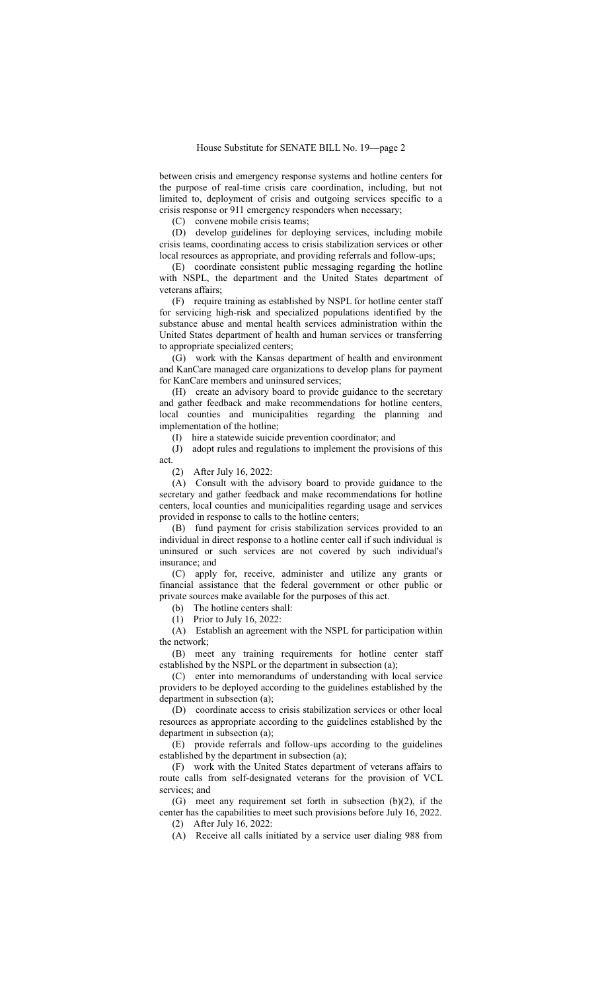between crisis and emergency response systems and hotline centers for the purpose of real-time crisis care coordination, including, but not limited to, deployment of crisis and outgoing services specific to a crisis response or 911 emergency responders when necessary;

(C) convene mobile crisis teams;

(D) develop guidelines for deploying services, including mobile crisis teams, coordinating access to crisis stabilization services or other local resources as appropriate, and providing referrals and follow-ups;

(E) coordinate consistent public messaging regarding the hotline with NSPL, the department and the United States department of veterans affairs;

(F) require training as established by NSPL for hotline center staff for servicing high-risk and specialized populations identified by the substance abuse and mental health services administration within the United States department of health and human services or transferring to appropriate specialized centers;

(G) work with the Kansas department of health and environment and KanCare managed care organizations to develop plans for payment for KanCare members and uninsured services;

(H) create an advisory board to provide guidance to the secretary and gather feedback and make recommendations for hotline centers, local counties and municipalities regarding the planning and implementation of the hotline;

(I) hire a statewide suicide prevention coordinator; and

(J) adopt rules and regulations to implement the provisions of this act.

(2) After July 16, 2022:

(A) Consult with the advisory board to provide guidance to the secretary and gather feedback and make recommendations for hotline centers, local counties and municipalities regarding usage and services provided in response to calls to the hotline centers;

(B) fund payment for crisis stabilization services provided to an individual in direct response to a hotline center call if such individual is uninsured or such services are not covered by such individual's insurance; and

(C) apply for, receive, administer and utilize any grants or financial assistance that the federal government or other public or private sources make available for the purposes of this act.

(b) The hotline centers shall:

(1) Prior to July 16, 2022:

(A) Establish an agreement with the NSPL for participation within the network;

(B) meet any training requirements for hotline center staff established by the NSPL or the department in subsection (a);

(C) enter into memorandums of understanding with local service providers to be deployed according to the guidelines established by the department in subsection (a);

(D) coordinate access to crisis stabilization services or other local resources as appropriate according to the guidelines established by the department in subsection (a);

(E) provide referrals and follow-ups according to the guidelines established by the department in subsection (a);

(F) work with the United States department of veterans affairs to route calls from self-designated veterans for the provision of VCL services; and

(G) meet any requirement set forth in subsection (b)(2), if the center has the capabilities to meet such provisions before July 16, 2022. (2) After July 16, 2022:

(A) Receive all calls initiated by a service user dialing 988 from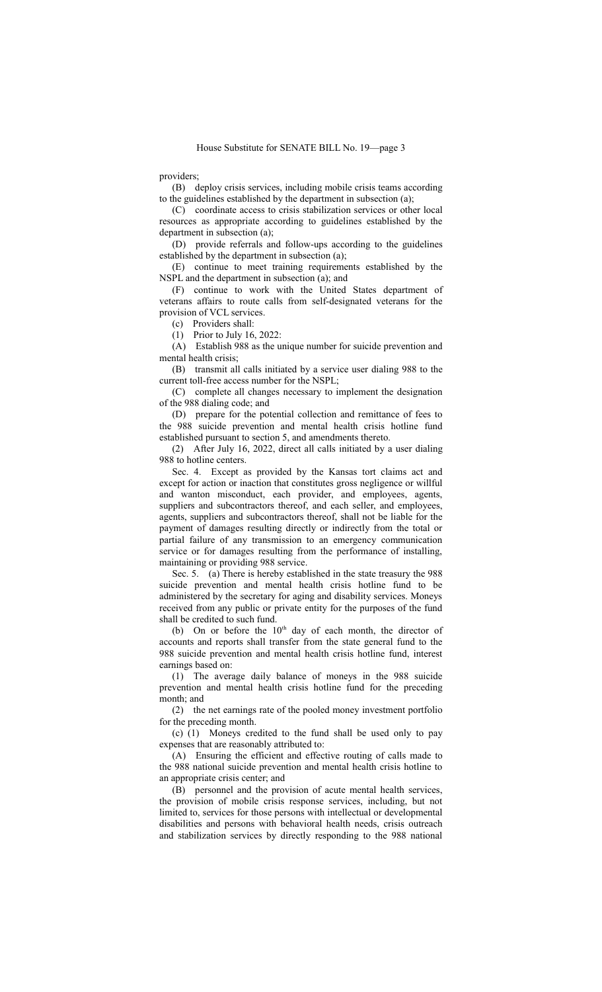providers;

(B) deploy crisis services, including mobile crisis teams according to the guidelines established by the department in subsection (a);

(C) coordinate access to crisis stabilization services or other local resources as appropriate according to guidelines established by the department in subsection (a);

(D) provide referrals and follow-ups according to the guidelines established by the department in subsection (a);

(E) continue to meet training requirements established by the NSPL and the department in subsection (a); and

(F) continue to work with the United States department of veterans affairs to route calls from self-designated veterans for the provision of VCL services.

(c) Providers shall:

(1) Prior to July 16, 2022:

(A) Establish 988 as the unique number for suicide prevention and mental health crisis;

(B) transmit all calls initiated by a service user dialing 988 to the current toll-free access number for the NSPL;

(C) complete all changes necessary to implement the designation of the 988 dialing code; and

(D) prepare for the potential collection and remittance of fees to the 988 suicide prevention and mental health crisis hotline fund established pursuant to section 5, and amendments thereto.

(2) After July 16, 2022, direct all calls initiated by a user dialing 988 to hotline centers.

Sec. 4. Except as provided by the Kansas tort claims act and except for action or inaction that constitutes gross negligence or willful and wanton misconduct, each provider, and employees, agents, suppliers and subcontractors thereof, and each seller, and employees, agents, suppliers and subcontractors thereof, shall not be liable for the payment of damages resulting directly or indirectly from the total or partial failure of any transmission to an emergency communication service or for damages resulting from the performance of installing, maintaining or providing 988 service.

Sec. 5. (a) There is hereby established in the state treasury the 988 suicide prevention and mental health crisis hotline fund to be administered by the secretary for aging and disability services. Moneys received from any public or private entity for the purposes of the fund shall be credited to such fund.

(b) On or before the  $10<sup>th</sup>$  day of each month, the director of accounts and reports shall transfer from the state general fund to the 988 suicide prevention and mental health crisis hotline fund, interest earnings based on:

(1) The average daily balance of moneys in the 988 suicide prevention and mental health crisis hotline fund for the preceding month; and

(2) the net earnings rate of the pooled money investment portfolio for the preceding month.

(c) (1) Moneys credited to the fund shall be used only to pay expenses that are reasonably attributed to:

(A) Ensuring the efficient and effective routing of calls made to the 988 national suicide prevention and mental health crisis hotline to an appropriate crisis center; and

(B) personnel and the provision of acute mental health services, the provision of mobile crisis response services, including, but not limited to, services for those persons with intellectual or developmental disabilities and persons with behavioral health needs, crisis outreach and stabilization services by directly responding to the 988 national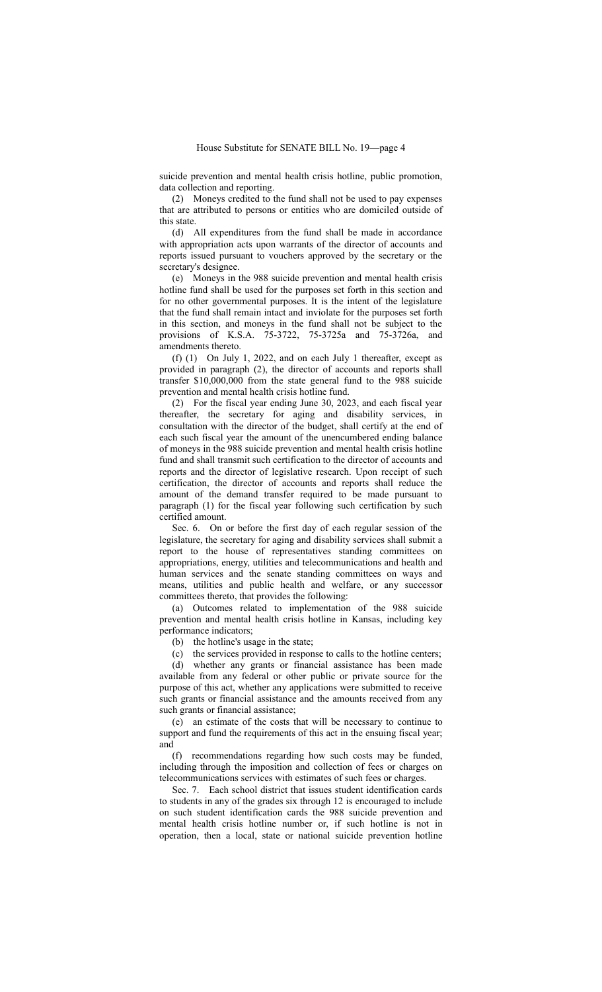suicide prevention and mental health crisis hotline, public promotion, data collection and reporting.

(2) Moneys credited to the fund shall not be used to pay expenses that are attributed to persons or entities who are domiciled outside of this state.

(d) All expenditures from the fund shall be made in accordance with appropriation acts upon warrants of the director of accounts and reports issued pursuant to vouchers approved by the secretary or the secretary's designee.

(e) Moneys in the 988 suicide prevention and mental health crisis hotline fund shall be used for the purposes set forth in this section and for no other governmental purposes. It is the intent of the legislature that the fund shall remain intact and inviolate for the purposes set forth in this section, and moneys in the fund shall not be subject to the provisions of K.S.A. 75-3722, 75-3725a and 75-3726a, and amendments thereto.

(f) (1) On July 1, 2022, and on each July 1 thereafter, except as provided in paragraph (2), the director of accounts and reports shall transfer \$10,000,000 from the state general fund to the 988 suicide prevention and mental health crisis hotline fund.

(2) For the fiscal year ending June 30, 2023, and each fiscal year thereafter, the secretary for aging and disability services, in consultation with the director of the budget, shall certify at the end of each such fiscal year the amount of the unencumbered ending balance of moneys in the 988 suicide prevention and mental health crisis hotline fund and shall transmit such certification to the director of accounts and reports and the director of legislative research. Upon receipt of such certification, the director of accounts and reports shall reduce the amount of the demand transfer required to be made pursuant to paragraph (1) for the fiscal year following such certification by such certified amount.

Sec. 6. On or before the first day of each regular session of the legislature, the secretary for aging and disability services shall submit a report to the house of representatives standing committees on appropriations, energy, utilities and telecommunications and health and human services and the senate standing committees on ways and means, utilities and public health and welfare, or any successor committees thereto, that provides the following:

(a) Outcomes related to implementation of the 988 suicide prevention and mental health crisis hotline in Kansas, including key performance indicators;

(b) the hotline's usage in the state;

(c) the services provided in response to calls to the hotline centers;

(d) whether any grants or financial assistance has been made available from any federal or other public or private source for the purpose of this act, whether any applications were submitted to receive such grants or financial assistance and the amounts received from any such grants or financial assistance;

(e) an estimate of the costs that will be necessary to continue to support and fund the requirements of this act in the ensuing fiscal year; and

(f) recommendations regarding how such costs may be funded, including through the imposition and collection of fees or charges on telecommunications services with estimates of such fees or charges.

Sec. 7. Each school district that issues student identification cards to students in any of the grades six through 12 is encouraged to include on such student identification cards the 988 suicide prevention and mental health crisis hotline number or, if such hotline is not in operation, then a local, state or national suicide prevention hotline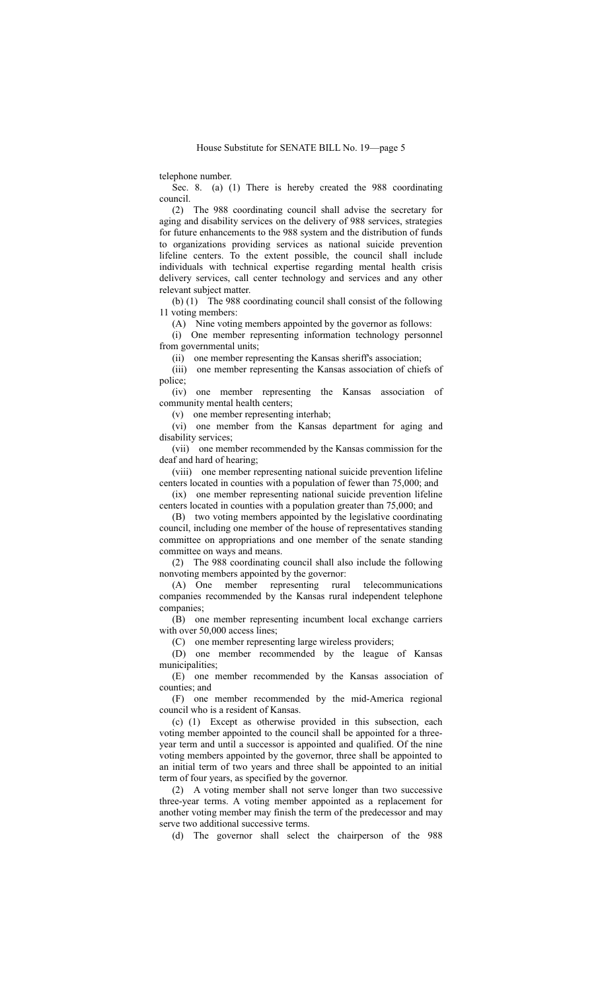telephone number.

Sec. 8. (a) (1) There is hereby created the 988 coordinating council.

(2) The 988 coordinating council shall advise the secretary for aging and disability services on the delivery of 988 services, strategies for future enhancements to the 988 system and the distribution of funds to organizations providing services as national suicide prevention lifeline centers. To the extent possible, the council shall include individuals with technical expertise regarding mental health crisis delivery services, call center technology and services and any other relevant subject matter.

(b) (1) The 988 coordinating council shall consist of the following 11 voting members:

(A) Nine voting members appointed by the governor as follows:

(i) One member representing information technology personnel from governmental units;

(ii) one member representing the Kansas sheriff's association;

(iii) one member representing the Kansas association of chiefs of police;

(iv) one member representing the Kansas association of community mental health centers;

(v) one member representing interhab;

(vi) one member from the Kansas department for aging and disability services;

(vii) one member recommended by the Kansas commission for the deaf and hard of hearing;

(viii) one member representing national suicide prevention lifeline centers located in counties with a population of fewer than 75,000; and

(ix) one member representing national suicide prevention lifeline centers located in counties with a population greater than 75,000; and

(B) two voting members appointed by the legislative coordinating council, including one member of the house of representatives standing committee on appropriations and one member of the senate standing committee on ways and means.

(2) The 988 coordinating council shall also include the following nonvoting members appointed by the governor:

(A) One member representing rural telecommunications companies recommended by the Kansas rural independent telephone companies;

(B) one member representing incumbent local exchange carriers with over 50,000 access lines;

(C) one member representing large wireless providers;

(D) one member recommended by the league of Kansas municipalities;

(E) one member recommended by the Kansas association of counties; and

(F) one member recommended by the mid-America regional council who is a resident of Kansas.

(c) (1) Except as otherwise provided in this subsection, each voting member appointed to the council shall be appointed for a threeyear term and until a successor is appointed and qualified. Of the nine voting members appointed by the governor, three shall be appointed to an initial term of two years and three shall be appointed to an initial term of four years, as specified by the governor.

(2) A voting member shall not serve longer than two successive three-year terms. A voting member appointed as a replacement for another voting member may finish the term of the predecessor and may serve two additional successive terms.

(d) The governor shall select the chairperson of the 988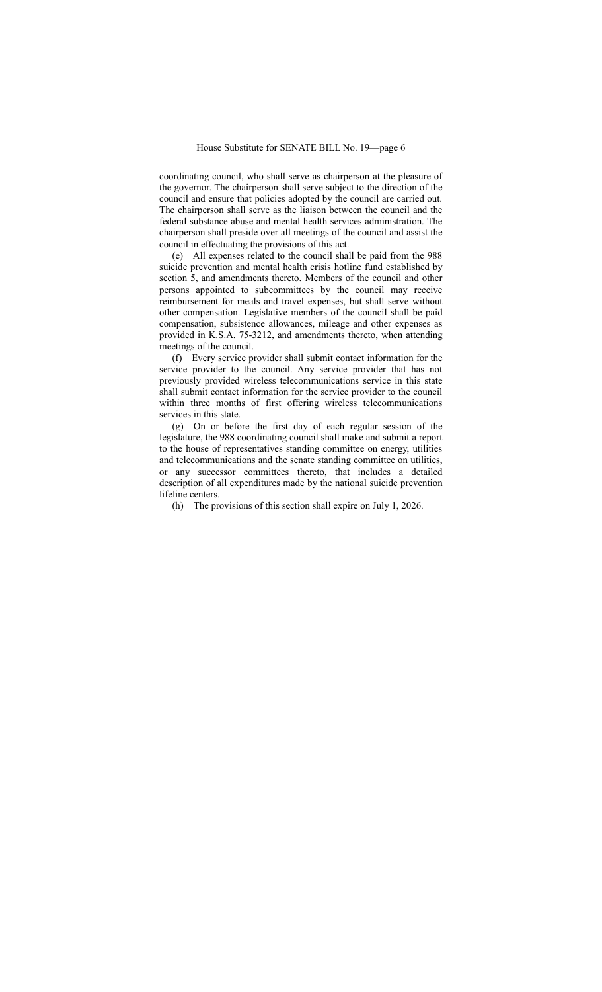coordinating council, who shall serve as chairperson at the pleasure of the governor. The chairperson shall serve subject to the direction of the council and ensure that policies adopted by the council are carried out. The chairperson shall serve as the liaison between the council and the federal substance abuse and mental health services administration. The chairperson shall preside over all meetings of the council and assist the council in effectuating the provisions of this act.

(e) All expenses related to the council shall be paid from the 988 suicide prevention and mental health crisis hotline fund established by section 5, and amendments thereto. Members of the council and other persons appointed to subcommittees by the council may receive reimbursement for meals and travel expenses, but shall serve without other compensation. Legislative members of the council shall be paid compensation, subsistence allowances, mileage and other expenses as provided in K.S.A. 75-3212, and amendments thereto, when attending meetings of the council.

(f) Every service provider shall submit contact information for the service provider to the council. Any service provider that has not previously provided wireless telecommunications service in this state shall submit contact information for the service provider to the council within three months of first offering wireless telecommunications services in this state.

(g) On or before the first day of each regular session of the legislature, the 988 coordinating council shall make and submit a report to the house of representatives standing committee on energy, utilities and telecommunications and the senate standing committee on utilities, or any successor committees thereto, that includes a detailed description of all expenditures made by the national suicide prevention lifeline centers.

(h) The provisions of this section shall expire on July 1, 2026.